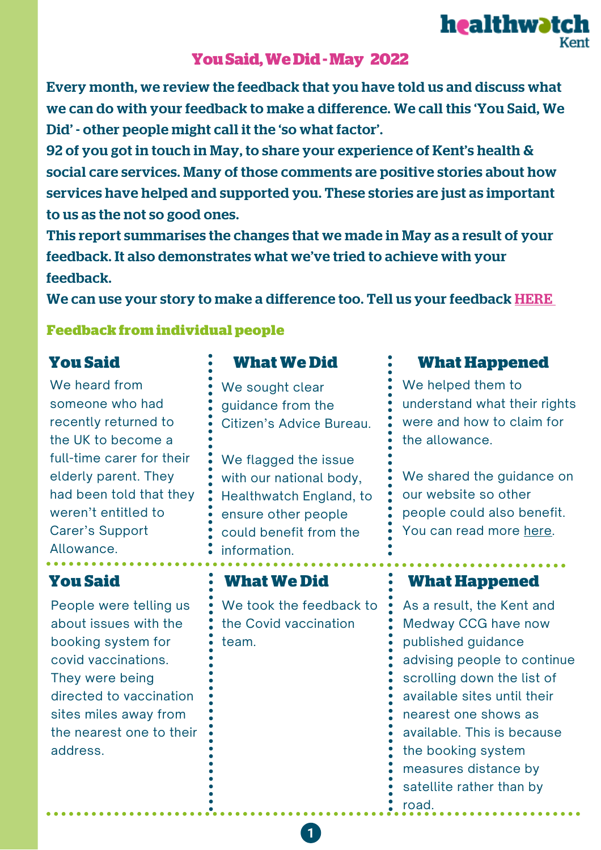# **YouSaid,WeDid-May 2022**

Every month, we review the feedback that you have told us and discuss what we can do with your feedback to make a difference. We call this 'You Said, We Did' - other people might call it the 'so what factor'.

92 of you got in touch in May, to share your experience of Kent's health & social care services. Many of those comments are positive stories about how services have helped and supported you. These stories are just as important to us as the not so good ones.

This report summarises the changes that we made in May as a result of your feedback. It also demonstrates what we've tried to achieve with your feedback.

We can use your story to make a difference too. Tell us your feedback **[HERE](https://www.healthwatchkent.co.uk/have-your-say)** 

### **Feedback from individual people**

We heard from someone who had recently returned to the UK to become a full-time carer for their elderly parent. They had been told that they weren't entitled to Carer's Support Allowance.

People were telling us about issues with the booking system for covid vaccinations. They were being directed to vaccination sites miles away from the nearest one to their address.

## **You Said What We Did**

We sought clear guidance from the Citizen's Advice Bureau.

We flagged the issue with our national body, Healthwatch England, to ensure other people could benefit from the information.

We took the feedback to the Covid vaccination team.

 $\mathbf{1}$ 

## **What Happened**

**healthwatch** 

We helped them to understand what their rights were and how to claim for the allowance.

We shared the guidance on our website so other people could also benefit. You can read more [here.](https://www.healthwatchkent.co.uk/advice-and-information/2022-05-18/can-you-claim-carers-support-if-you-have-recently-moved-uk)

## **You Said What We Did What Happened**

As a result, the Kent and Medway CCG have now published guidance advising people to continue scrolling down the list of available sites until their nearest one shows as available. This is because the booking system measures distance by satellite rather than by road.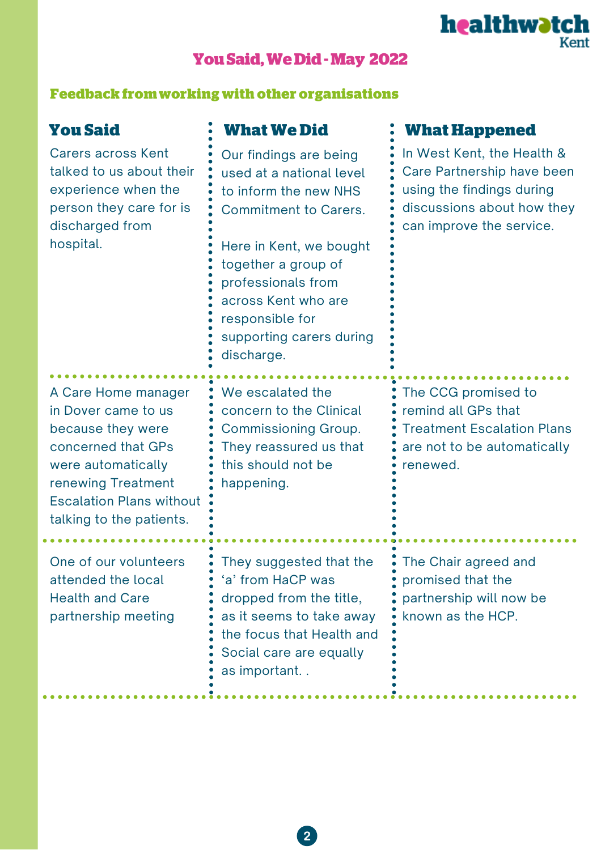# **YouSaid,WeDid-May 2022**

### **Feedback fromworking with other organisations**

Carers across Kent talked to us about their experience when the person they care for is discharged from hospital.

# **You Said What We Did**

Our findings are being used at a national level to inform the new NHS Commitment to Carers.

Here in Kent, we bought together a group of professionals from across Kent who are responsible for supporting carers during discharge.

# A Care Home manager in Dover came to us because they were concerned that GPs were automatically renewing Treatment Escalation Plans without talking to the patients.

One of our volunteers attended the local Health and Care partnership meeting

<u>. . . . . . . . . . .</u>

We escalated the concern to the Clinical Commissioning Group. They reassured us that this should not be happening.

They suggested that the 'a' from HaCP was dropped from the title, as it seems to take away the focus that Health and Social care are equally as important. .

## **What Happened**

In West Kent, the Health & Care Partnership have been using the findings during discussions about how they can improve the service.

healthwatch

The CCG promised to remind all GPs that Treatment Escalation Plans are not to be automatically renewed.

The Chair agreed and promised that the partnership will now be known as the HCP.

 $\overline{2}$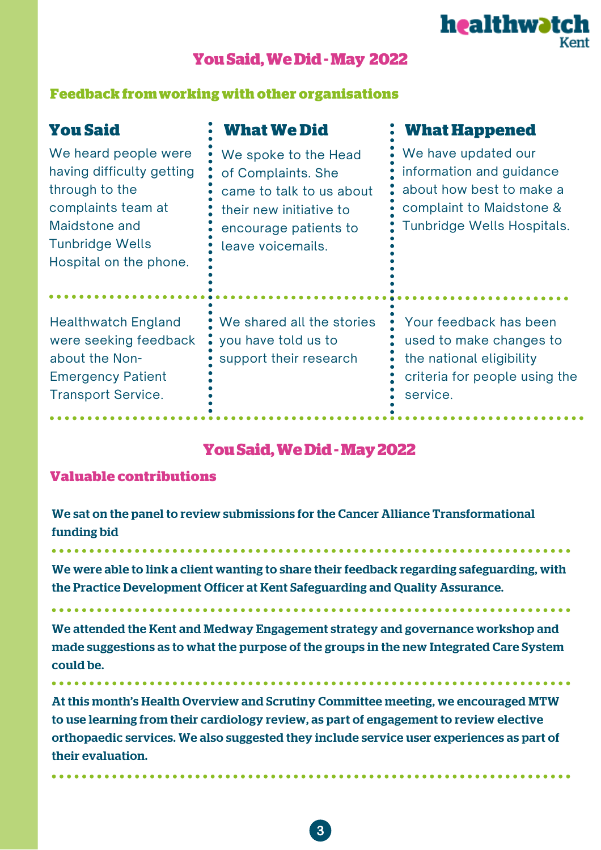

# **YouSaid,WeDid-May 2022**

### **Feedback fromworking with other organisations**

| <b>You Said</b><br>We heard people were<br>having difficulty getting<br>through to the<br>complaints team at<br>Maidstone and<br><b>Tunbridge Wells</b><br>Hospital on the phone. | <b>What We Did</b><br>We spoke to the Head<br>of Complaints. She<br>came to talk to us about<br>their new initiative to<br>encourage patients to<br>leave voicemails. | <b>What Happened</b><br>We have updated our<br>information and guidance<br>about how best to make a<br>complaint to Maidstone &<br>Tunbridge Wells Hospitals. |
|-----------------------------------------------------------------------------------------------------------------------------------------------------------------------------------|-----------------------------------------------------------------------------------------------------------------------------------------------------------------------|---------------------------------------------------------------------------------------------------------------------------------------------------------------|
| <b>Healthwatch England</b><br>were seeking feedback<br>about the Non-<br><b>Emergency Patient</b><br><b>Transport Service.</b>                                                    | We shared all the stories<br>you have told us to<br>support their research                                                                                            | Your feedback has been<br>used to make changes to<br>the national eligibility<br>criteria for people using the<br>service.                                    |

# **YouSaid,WeDid-May2022**

## **Valuable contributions**

. **. . . . . . . . . . . . . .** .

We sat on the panel to review submissions for the Cancer Alliance Transformational funding bid

We were able to link a client wanting to share their feedback regarding safeguarding, with the Practice Development Officer at Kent Safeguarding and Quality Assurance.

We attended the Kent and Medway Engagement strategy and governance workshop and made suggestions as to what the purpose of the groups in the new Integrated Care System could be.

At this month's Health Overview and Scrutiny Committee meeting, we encouraged MTW to use learning from their cardiology review, as part of engagement to review elective orthopaedic services. We also suggested they include service user experiences as part of their evaluation.

 $3<sup>°</sup>$